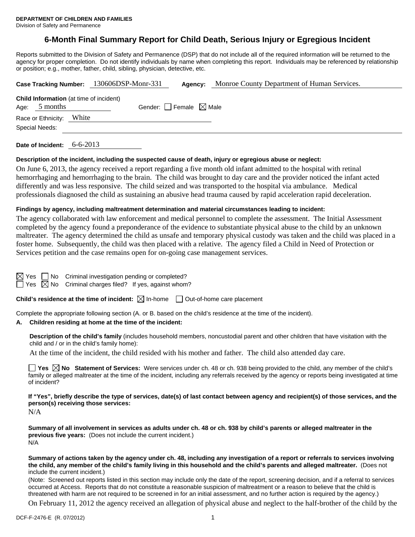# **6-Month Final Summary Report for Child Death, Serious Injury or Egregious Incident**

Reports submitted to the Division of Safety and Permanence (DSP) that do not include all of the required information will be returned to the agency for proper completion. Do not identify individuals by name when completing this report. Individuals may be referenced by relationship or position; e.g., mother, father, child, sibling, physician, detective, etc.

| Case Tracking Number: 130606DSP-Monr-331                          |                                 | Agency: | Monroe County Department of Human Services. |
|-------------------------------------------------------------------|---------------------------------|---------|---------------------------------------------|
| <b>Child Information</b> (at time of incident)<br>Age: $5$ months | Gender: Female $\boxtimes$ Male |         |                                             |
| Race or Ethnicity: White                                          |                                 |         |                                             |
| Special Needs:                                                    |                                 |         |                                             |
|                                                                   |                                 |         |                                             |

**Date of Incident:** 6-6-2013

#### **Description of the incident, including the suspected cause of death, injury or egregious abuse or neglect:**

On June 6, 2013, the agency received a report regarding a five month old infant admitted to the hospital with retinal hemorrhaging and hemorrhaging to the brain. The child was brought to day care and the provider noticed the infant acted differently and was less responsive. The child seized and was transported to the hospital via ambulance. Medical professionals diagnosed the child as sustaining an abusive head trauma caused by rapid acceleration rapid deceleration.

#### **Findings by agency, including maltreatment determination and material circumstances leading to incident:**

The agency collaborated with law enforcement and medical personnel to complete the assessment. The Initial Assessment completed by the agency found a preponderance of the evidence to substantiate physical abuse to the child by an unknown maltreater. The agency determined the child as unsafe and temporary physical custody was taken and the child was placed in a foster home. Subsequently, the child was then placed with a relative. The agency filed a Child in Need of Protection or Services petition and the case remains open for on-going case management services.

No Criminal investigation pending or completed?

 $\Box$  Yes  $\boxtimes$  No Criminal charges filed? If yes, against whom?

**Child's residence at the time of incident:**  $\boxtimes$  In-home  $\Box$  Out-of-home care placement

Complete the appropriate following section (A. or B. based on the child's residence at the time of the incident).

#### **A. Children residing at home at the time of the incident:**

**Description of the child's family** (includes household members, noncustodial parent and other children that have visitation with the child and / or in the child's family home):

At the time of the incident, the child resided with his mother and father. The child also attended day care.

**Yes**  $\boxtimes$  **No** Statement of Services: Were services under ch. 48 or ch. 938 being provided to the child, any member of the child's family or alleged maltreater at the time of the incident, including any referrals received by the agency or reports being investigated at time of incident?

**If "Yes", briefly describe the type of services, date(s) of last contact between agency and recipient(s) of those services, and the person(s) receiving those services:** 

N/A

**Summary of all involvement in services as adults under ch. 48 or ch. 938 by child's parents or alleged maltreater in the previous five years:** (Does not include the current incident.) N/A

**Summary of actions taken by the agency under ch. 48, including any investigation of a report or referrals to services involving the child, any member of the child's family living in this household and the child's parents and alleged maltreater.** (Does not include the current incident.)

(Note: Screened out reports listed in this section may include only the date of the report, screening decision, and if a referral to services occurred at Access. Reports that do not constitute a reasonable suspicion of maltreatment or a reason to believe that the child is threatened with harm are not required to be screened in for an initial assessment, and no further action is required by the agency.)

On February 11, 2012 the agency received an allegation of physical abuse and neglect to the half-brother of the child by the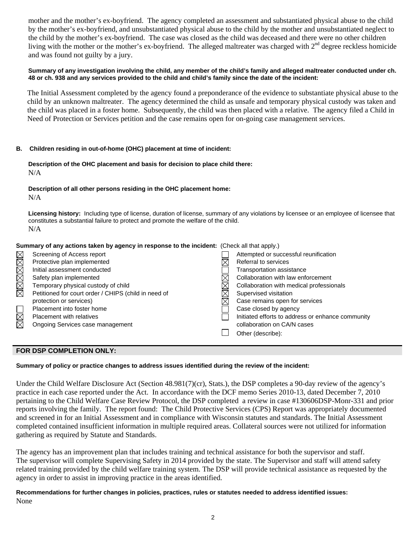mother and the mother's ex-boyfriend. The agency completed an assessment and substantiated physical abuse to the child by the mother's ex-boyfriend, and unsubstantiated physical abuse to the child by the mother and unsubstantiated neglect to the child by the mother's ex-boyfriend. The case was closed as the child was deceased and there were no other children living with the mother or the mother's ex-boyfriend. The alleged maltreater was charged with  $2<sup>nd</sup>$  degree reckless homicide and was found not guilty by a jury.

#### **Summary of any investigation involving the child, any member of the child's family and alleged maltreater conducted under ch. 48 or ch. 938 and any services provided to the child and child's family since the date of the incident:**

 The Initial Assessment completed by the agency found a preponderance of the evidence to substantiate physical abuse to the child by an unknown maltreater. The agency determined the child as unsafe and temporary physical custody was taken and the child was placed in a foster home. Subsequently, the child was then placed with a relative. The agency filed a Child in Need of Protection or Services petition and the case remains open for on-going case management services.

### **B. Children residing in out-of-home (OHC) placement at time of incident:**

### **Description of the OHC placement and basis for decision to place child there:** N/A

### **Description of all other persons residing in the OHC placement home:**

N/A

**Licensing history:** Including type of license, duration of license, summary of any violations by licensee or an employee of licensee that constitutes a substantial failure to protect and promote the welfare of the child. N/A

| Summary of any actions taken by agency in response to the incident: (Check all that apply.) |  |
|---------------------------------------------------------------------------------------------|--|
|---------------------------------------------------------------------------------------------|--|

|                        | Screening of Access report                           | Attempted or successful reunification             |
|------------------------|------------------------------------------------------|---------------------------------------------------|
| MMMMMM                 | Protective plan implemented                          | Referral to services                              |
|                        | Initial assessment conducted                         | Transportation assistance                         |
|                        | Safety plan implemented                              | Collaboration with law enforcement                |
|                        | Temporary physical custody of child                  | Collaboration with medical professionals          |
|                        | Petitioned for court order / CHIPS (child in need of | Supervised visitation                             |
|                        | protection or services)                              | Case remains open for services                    |
|                        | Placement into foster home                           | Case closed by agency                             |
| $\overline{\boxtimes}$ | Placement with relatives                             | Initiated efforts to address or enhance community |
| 岗                      | Ongoing Services case management                     | collaboration on CA/N cases                       |
|                        |                                                      | Other (describe):                                 |

# **FOR DSP COMPLETION ONLY:**

# **Summary of policy or practice changes to address issues identified during the review of the incident:**

Under the Child Welfare Disclosure Act (Section 48.981(7)(cr), Stats.), the DSP completes a 90-day review of the agency's practice in each case reported under the Act. In accordance with the DCF memo Series 2010-13, dated December 7, 2010 pertaining to the Child Welfare Case Review Protocol, the DSP completed a review in case #130606DSP-Monr-331 and prior reports involving the family. The report found: The Child Protective Services (CPS) Report was appropriately documented and screened in for an Initial Assessment and in compliance with Wisconsin statutes and standards. The Initial Assessment completed contained insufficient information in multiple required areas. Collateral sources were not utilized for information gathering as required by Statute and Standards.

The agency has an improvement plan that includes training and technical assistance for both the supervisor and staff. The supervisor will complete Supervising Safety in 2014 provided by the state. The Supervisor and staff will attend safety related training provided by the child welfare training system. The DSP will provide technical assistance as requested by the agency in order to assist in improving practice in the areas identified.

**Recommendations for further changes in policies, practices, rules or statutes needed to address identified issues:** None